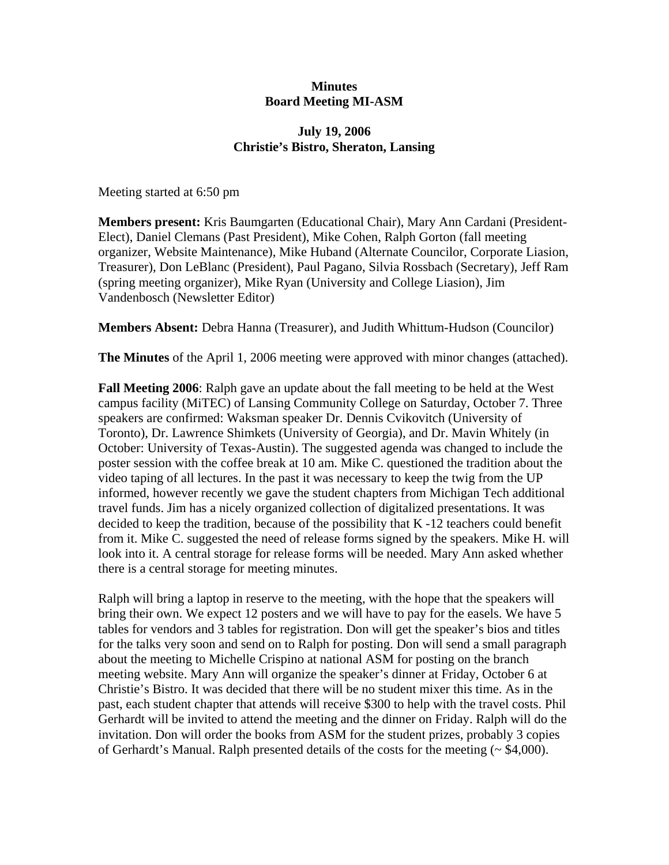## **Minutes Board Meeting MI-ASM**

## **July 19, 2006 Christie's Bistro, Sheraton, Lansing**

Meeting started at 6:50 pm

**Members present:** Kris Baumgarten (Educational Chair), Mary Ann Cardani (President-Elect), Daniel Clemans (Past President), Mike Cohen, Ralph Gorton (fall meeting organizer, Website Maintenance), Mike Huband (Alternate Councilor, Corporate Liasion, Treasurer), Don LeBlanc (President), Paul Pagano, Silvia Rossbach (Secretary), Jeff Ram (spring meeting organizer), Mike Ryan (University and College Liasion), Jim Vandenbosch (Newsletter Editor)

**Members Absent:** Debra Hanna (Treasurer), and Judith Whittum-Hudson (Councilor)

**The Minutes** of the April 1, 2006 meeting were approved with minor changes (attached).

**Fall Meeting 2006**: Ralph gave an update about the fall meeting to be held at the West campus facility (MiTEC) of Lansing Community College on Saturday, October 7. Three speakers are confirmed: Waksman speaker Dr. Dennis Cvikovitch (University of Toronto), Dr. Lawrence Shimkets (University of Georgia), and Dr. Mavin Whitely (in October: University of Texas-Austin). The suggested agenda was changed to include the poster session with the coffee break at 10 am. Mike C. questioned the tradition about the video taping of all lectures. In the past it was necessary to keep the twig from the UP informed, however recently we gave the student chapters from Michigan Tech additional travel funds. Jim has a nicely organized collection of digitalized presentations. It was decided to keep the tradition, because of the possibility that K -12 teachers could benefit from it. Mike C. suggested the need of release forms signed by the speakers. Mike H. will look into it. A central storage for release forms will be needed. Mary Ann asked whether there is a central storage for meeting minutes.

Ralph will bring a laptop in reserve to the meeting, with the hope that the speakers will bring their own. We expect 12 posters and we will have to pay for the easels. We have 5 tables for vendors and 3 tables for registration. Don will get the speaker's bios and titles for the talks very soon and send on to Ralph for posting. Don will send a small paragraph about the meeting to Michelle Crispino at national ASM for posting on the branch meeting website. Mary Ann will organize the speaker's dinner at Friday, October 6 at Christie's Bistro. It was decided that there will be no student mixer this time. As in the past, each student chapter that attends will receive \$300 to help with the travel costs. Phil Gerhardt will be invited to attend the meeting and the dinner on Friday. Ralph will do the invitation. Don will order the books from ASM for the student prizes, probably 3 copies of Gerhardt's Manual. Ralph presented details of the costs for the meeting  $($   $\sim$  \$4,000).